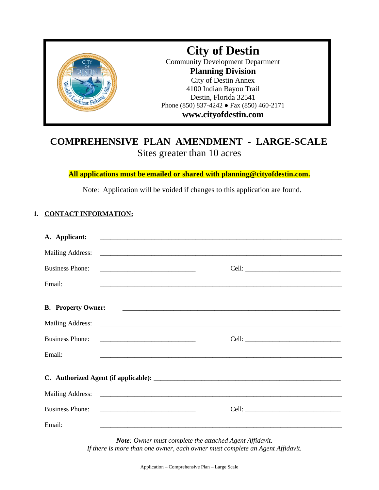

## **COMPREHENSIVE PLAN AMENDMENT - LARGE-SCALE** Sites greater than 10 acres

**All applications must be emailed or shared with planning@cityofdestin.com.**

Note: Application will be voided if changes to this application are found.

### **1. CONTACT INFORMATION:**

| A. Applicant:             | <u> 1989 - Jan Samuel Barbert Barbon (f. 1989)</u>                                                                    |  |  |  |  |
|---------------------------|-----------------------------------------------------------------------------------------------------------------------|--|--|--|--|
| Mailing Address:          |                                                                                                                       |  |  |  |  |
| <b>Business Phone:</b>    | <u> 2000 - Andrea Andrews, amerikansk politik (</u>                                                                   |  |  |  |  |
| Email:                    |                                                                                                                       |  |  |  |  |
| <b>B.</b> Property Owner: |                                                                                                                       |  |  |  |  |
|                           |                                                                                                                       |  |  |  |  |
| <b>Business Phone:</b>    |                                                                                                                       |  |  |  |  |
| Email:                    | <u> 1990 - Johann Harry Harry Harry Harry Harry Harry Harry Harry Harry Harry Harry Harry Harry Harry Harry Harry</u> |  |  |  |  |
|                           |                                                                                                                       |  |  |  |  |
|                           |                                                                                                                       |  |  |  |  |
| <b>Business Phone:</b>    |                                                                                                                       |  |  |  |  |
| Email:                    | <u> 1989 - Johann Stoff, amerikansk politiker (d. 1989)</u>                                                           |  |  |  |  |

*Note: Owner must complete the attached Agent Affidavit. If there is more than one owner, each owner must complete an Agent Affidavit.*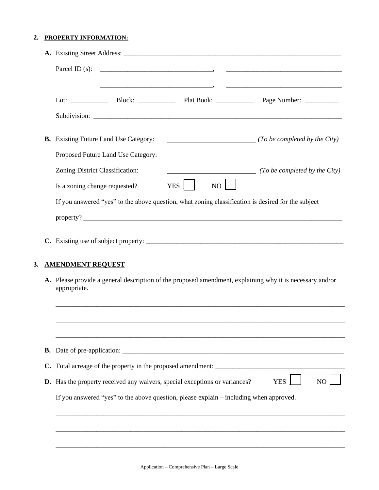#### **2. PROPERTY INFORMATION:**

|                |                                                                                                                          | <b>B.</b> Existing Future Land Use Category:                                      |                                                                         | $\sqrt{T}$ (To be completed by the City)                                                                                 |  |  |
|----------------|--------------------------------------------------------------------------------------------------------------------------|-----------------------------------------------------------------------------------|-------------------------------------------------------------------------|--------------------------------------------------------------------------------------------------------------------------|--|--|
|                | Zoning District Classification:<br>Is a zoning change requested?                                                         | Proposed Future Land Use Category:                                                | <u> 1989 - John Stein, mars and de Brazilian (b. 1989)</u><br>NO<br>YES | ( <i>To be completed by the City</i> )                                                                                   |  |  |
|                |                                                                                                                          |                                                                                   |                                                                         | If you answered "yes" to the above question, what zoning classification is desired for the subject<br>$\text{property?}$ |  |  |
|                |                                                                                                                          |                                                                                   |                                                                         |                                                                                                                          |  |  |
|                | <b>AMENDMENT REQUEST</b>                                                                                                 |                                                                                   |                                                                         |                                                                                                                          |  |  |
|                | A. Please provide a general description of the proposed amendment, explaining why it is necessary and/or<br>appropriate. |                                                                                   |                                                                         |                                                                                                                          |  |  |
|                |                                                                                                                          |                                                                                   |                                                                         |                                                                                                                          |  |  |
|                |                                                                                                                          |                                                                                   |                                                                         |                                                                                                                          |  |  |
|                |                                                                                                                          |                                                                                   |                                                                         |                                                                                                                          |  |  |
| $\mathbf{C}$ . |                                                                                                                          |                                                                                   |                                                                         | Total acreage of the property in the proposed amendment: ________________________                                        |  |  |
|                |                                                                                                                          | <b>D.</b> Has the property received any waivers, special exceptions or variances? |                                                                         | <b>YES</b><br>N <sub>0</sub>                                                                                             |  |  |
|                |                                                                                                                          |                                                                                   |                                                                         | If you answered "yes" to the above question, please explain – including when approved.                                   |  |  |

\_\_\_\_\_\_\_\_\_\_\_\_\_\_\_\_\_\_\_\_\_\_\_\_\_\_\_\_\_\_\_\_\_\_\_\_\_\_\_\_\_\_\_\_\_\_\_\_\_\_\_\_\_\_\_\_\_\_\_\_\_\_\_\_\_\_\_\_\_\_\_\_\_\_\_\_\_\_\_\_\_\_\_\_\_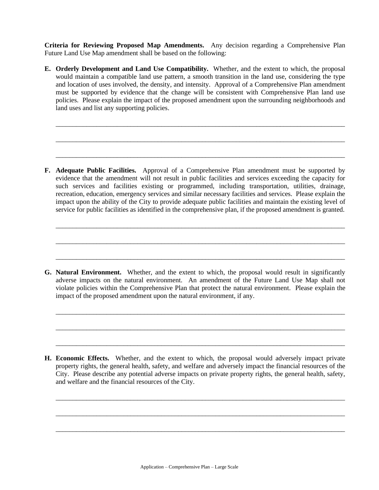**Criteria for Reviewing Proposed Map Amendments.** Any decision regarding a Comprehensive Plan Future Land Use Map amendment shall be based on the following:

**E. Orderly Development and Land Use Compatibility.** Whether, and the extent to which, the proposal would maintain a compatible land use pattern, a smooth transition in the land use, considering the type and location of uses involved, the density, and intensity. Approval of a Comprehensive Plan amendment must be supported by evidence that the change will be consistent with Comprehensive Plan land use policies. Please explain the impact of the proposed amendment upon the surrounding neighborhoods and land uses and list any supporting policies.

\_\_\_\_\_\_\_\_\_\_\_\_\_\_\_\_\_\_\_\_\_\_\_\_\_\_\_\_\_\_\_\_\_\_\_\_\_\_\_\_\_\_\_\_\_\_\_\_\_\_\_\_\_\_\_\_\_\_\_\_\_\_\_\_\_\_\_\_\_\_\_\_\_\_\_\_\_\_\_\_\_\_\_\_\_

\_\_\_\_\_\_\_\_\_\_\_\_\_\_\_\_\_\_\_\_\_\_\_\_\_\_\_\_\_\_\_\_\_\_\_\_\_\_\_\_\_\_\_\_\_\_\_\_\_\_\_\_\_\_\_\_\_\_\_\_\_\_\_\_\_\_\_\_\_\_\_\_\_\_\_\_\_\_\_\_\_\_\_\_\_

\_\_\_\_\_\_\_\_\_\_\_\_\_\_\_\_\_\_\_\_\_\_\_\_\_\_\_\_\_\_\_\_\_\_\_\_\_\_\_\_\_\_\_\_\_\_\_\_\_\_\_\_\_\_\_\_\_\_\_\_\_\_\_\_\_\_\_\_\_\_\_\_\_\_\_\_\_\_\_\_\_\_\_\_\_

**F. Adequate Public Facilities.** Approval of a Comprehensive Plan amendment must be supported by evidence that the amendment will not result in public facilities and services exceeding the capacity for such services and facilities existing or programmed, including transportation, utilities, drainage, recreation, education, emergency services and similar necessary facilities and services. Please explain the impact upon the ability of the City to provide adequate public facilities and maintain the existing level of service for public facilities as identified in the comprehensive plan, if the proposed amendment is granted.

\_\_\_\_\_\_\_\_\_\_\_\_\_\_\_\_\_\_\_\_\_\_\_\_\_\_\_\_\_\_\_\_\_\_\_\_\_\_\_\_\_\_\_\_\_\_\_\_\_\_\_\_\_\_\_\_\_\_\_\_\_\_\_\_\_\_\_\_\_\_\_\_\_\_\_\_\_\_\_\_\_\_\_\_\_

\_\_\_\_\_\_\_\_\_\_\_\_\_\_\_\_\_\_\_\_\_\_\_\_\_\_\_\_\_\_\_\_\_\_\_\_\_\_\_\_\_\_\_\_\_\_\_\_\_\_\_\_\_\_\_\_\_\_\_\_\_\_\_\_\_\_\_\_\_\_\_\_\_\_\_\_\_\_\_\_\_\_\_\_\_

\_\_\_\_\_\_\_\_\_\_\_\_\_\_\_\_\_\_\_\_\_\_\_\_\_\_\_\_\_\_\_\_\_\_\_\_\_\_\_\_\_\_\_\_\_\_\_\_\_\_\_\_\_\_\_\_\_\_\_\_\_\_\_\_\_\_\_\_\_\_\_\_\_\_\_\_\_\_\_\_\_\_\_\_\_

**G. Natural Environment.** Whether, and the extent to which, the proposal would result in significantly adverse impacts on the natural environment. An amendment of the Future Land Use Map shall not violate policies within the Comprehensive Plan that protect the natural environment. Please explain the impact of the proposed amendment upon the natural environment, if any.

\_\_\_\_\_\_\_\_\_\_\_\_\_\_\_\_\_\_\_\_\_\_\_\_\_\_\_\_\_\_\_\_\_\_\_\_\_\_\_\_\_\_\_\_\_\_\_\_\_\_\_\_\_\_\_\_\_\_\_\_\_\_\_\_\_\_\_\_\_\_\_\_\_\_\_\_\_\_\_\_\_\_\_\_\_

\_\_\_\_\_\_\_\_\_\_\_\_\_\_\_\_\_\_\_\_\_\_\_\_\_\_\_\_\_\_\_\_\_\_\_\_\_\_\_\_\_\_\_\_\_\_\_\_\_\_\_\_\_\_\_\_\_\_\_\_\_\_\_\_\_\_\_\_\_\_\_\_\_\_\_\_\_\_\_\_\_\_\_\_\_

\_\_\_\_\_\_\_\_\_\_\_\_\_\_\_\_\_\_\_\_\_\_\_\_\_\_\_\_\_\_\_\_\_\_\_\_\_\_\_\_\_\_\_\_\_\_\_\_\_\_\_\_\_\_\_\_\_\_\_\_\_\_\_\_\_\_\_\_\_\_\_\_\_\_\_\_\_\_\_\_\_\_\_\_\_

**H. Economic Effects.** Whether, and the extent to which, the proposal would adversely impact private property rights, the general health, safety, and welfare and adversely impact the financial resources of the City. Please describe any potential adverse impacts on private property rights, the general health, safety, and welfare and the financial resources of the City.

\_\_\_\_\_\_\_\_\_\_\_\_\_\_\_\_\_\_\_\_\_\_\_\_\_\_\_\_\_\_\_\_\_\_\_\_\_\_\_\_\_\_\_\_\_\_\_\_\_\_\_\_\_\_\_\_\_\_\_\_\_\_\_\_\_\_\_\_\_\_\_\_\_\_\_\_\_\_\_\_\_\_\_\_\_

\_\_\_\_\_\_\_\_\_\_\_\_\_\_\_\_\_\_\_\_\_\_\_\_\_\_\_\_\_\_\_\_\_\_\_\_\_\_\_\_\_\_\_\_\_\_\_\_\_\_\_\_\_\_\_\_\_\_\_\_\_\_\_\_\_\_\_\_\_\_\_\_\_\_\_\_\_\_\_\_\_\_\_\_\_

\_\_\_\_\_\_\_\_\_\_\_\_\_\_\_\_\_\_\_\_\_\_\_\_\_\_\_\_\_\_\_\_\_\_\_\_\_\_\_\_\_\_\_\_\_\_\_\_\_\_\_\_\_\_\_\_\_\_\_\_\_\_\_\_\_\_\_\_\_\_\_\_\_\_\_\_\_\_\_\_\_\_\_\_\_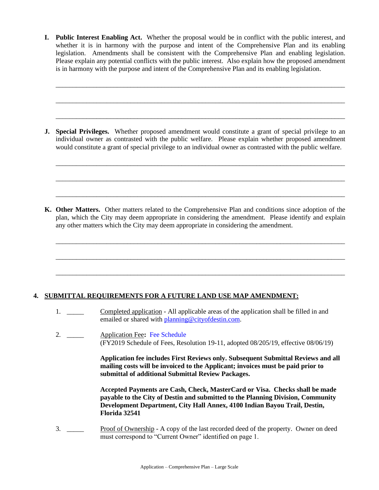**I. Public Interest Enabling Act.** Whether the proposal would be in conflict with the public interest, and whether it is in harmony with the purpose and intent of the Comprehensive Plan and its enabling legislation. Amendments shall be consistent with the Comprehensive Plan and enabling legislation. Please explain any potential conflicts with the public interest. Also explain how the proposed amendment is in harmony with the purpose and intent of the Comprehensive Plan and its enabling legislation.

\_\_\_\_\_\_\_\_\_\_\_\_\_\_\_\_\_\_\_\_\_\_\_\_\_\_\_\_\_\_\_\_\_\_\_\_\_\_\_\_\_\_\_\_\_\_\_\_\_\_\_\_\_\_\_\_\_\_\_\_\_\_\_\_\_\_\_\_\_\_\_\_\_\_\_\_\_\_\_\_\_\_\_\_\_

\_\_\_\_\_\_\_\_\_\_\_\_\_\_\_\_\_\_\_\_\_\_\_\_\_\_\_\_\_\_\_\_\_\_\_\_\_\_\_\_\_\_\_\_\_\_\_\_\_\_\_\_\_\_\_\_\_\_\_\_\_\_\_\_\_\_\_\_\_\_\_\_\_\_\_\_\_\_\_\_\_\_\_\_\_

\_\_\_\_\_\_\_\_\_\_\_\_\_\_\_\_\_\_\_\_\_\_\_\_\_\_\_\_\_\_\_\_\_\_\_\_\_\_\_\_\_\_\_\_\_\_\_\_\_\_\_\_\_\_\_\_\_\_\_\_\_\_\_\_\_\_\_\_\_\_\_\_\_\_\_\_\_\_\_\_\_\_\_\_\_

\_\_\_\_\_\_\_\_\_\_\_\_\_\_\_\_\_\_\_\_\_\_\_\_\_\_\_\_\_\_\_\_\_\_\_\_\_\_\_\_\_\_\_\_\_\_\_\_\_\_\_\_\_\_\_\_\_\_\_\_\_\_\_\_\_\_\_\_\_\_\_\_\_\_\_\_\_\_\_\_\_\_\_\_\_

\_\_\_\_\_\_\_\_\_\_\_\_\_\_\_\_\_\_\_\_\_\_\_\_\_\_\_\_\_\_\_\_\_\_\_\_\_\_\_\_\_\_\_\_\_\_\_\_\_\_\_\_\_\_\_\_\_\_\_\_\_\_\_\_\_\_\_\_\_\_\_\_\_\_\_\_\_\_\_\_\_\_\_\_\_

\_\_\_\_\_\_\_\_\_\_\_\_\_\_\_\_\_\_\_\_\_\_\_\_\_\_\_\_\_\_\_\_\_\_\_\_\_\_\_\_\_\_\_\_\_\_\_\_\_\_\_\_\_\_\_\_\_\_\_\_\_\_\_\_\_\_\_\_\_\_\_\_\_\_\_\_\_\_\_\_\_\_\_\_\_

\_\_\_\_\_\_\_\_\_\_\_\_\_\_\_\_\_\_\_\_\_\_\_\_\_\_\_\_\_\_\_\_\_\_\_\_\_\_\_\_\_\_\_\_\_\_\_\_\_\_\_\_\_\_\_\_\_\_\_\_\_\_\_\_\_\_\_\_\_\_\_\_\_\_\_\_\_\_\_\_\_\_\_\_\_

\_\_\_\_\_\_\_\_\_\_\_\_\_\_\_\_\_\_\_\_\_\_\_\_\_\_\_\_\_\_\_\_\_\_\_\_\_\_\_\_\_\_\_\_\_\_\_\_\_\_\_\_\_\_\_\_\_\_\_\_\_\_\_\_\_\_\_\_\_\_\_\_\_\_\_\_\_\_\_\_\_\_\_\_\_

\_\_\_\_\_\_\_\_\_\_\_\_\_\_\_\_\_\_\_\_\_\_\_\_\_\_\_\_\_\_\_\_\_\_\_\_\_\_\_\_\_\_\_\_\_\_\_\_\_\_\_\_\_\_\_\_\_\_\_\_\_\_\_\_\_\_\_\_\_\_\_\_\_\_\_\_\_\_\_\_\_\_\_\_\_

**J. Special Privileges.** Whether proposed amendment would constitute a grant of special privilege to an individual owner as contrasted with the public welfare. Please explain whether proposed amendment would constitute a grant of special privilege to an individual owner as contrasted with the public welfare.

**K. Other Matters.** Other matters related to the Comprehensive Plan and conditions since adoption of the plan, which the City may deem appropriate in considering the amendment. Please identify and explain any other matters which the City may deem appropriate in considering the amendment.

### **4. SUBMITTAL REQUIREMENTS FOR A FUTURE LAND USE MAP AMENDMENT:**

- 1. Completed application All applicable areas of the application shall be filled in and emailed or shared with [planning@cityofdestin.com.](mailto:planning@cityofdestin.com)
- 2. \_\_\_\_\_ Application Fee**:** [Fee Schedule](https://www.cityofdestin.com/DocumentCenter/View/119/Planning-Fees-FY2019?bidId=) (FY2019 Schedule of Fees, Resolution 19-11, adopted 08/205/19, effective 08/06/19)

**Application fee includes First Reviews only. Subsequent Submittal Reviews and all mailing costs will be invoiced to the Applicant; invoices must be paid prior to submittal of additional Submittal Review Packages.**

**Accepted Payments are Cash, Check, MasterCard or Visa. Checks shall be made payable to the City of Destin and submitted to the Planning Division, Community Development Department, City Hall Annex, 4100 Indian Bayou Trail, Destin, Florida 32541**

3. \_\_\_\_ Proof of Ownership - A copy of the last recorded deed of the property. Owner on deed must correspond to "Current Owner" identified on page 1.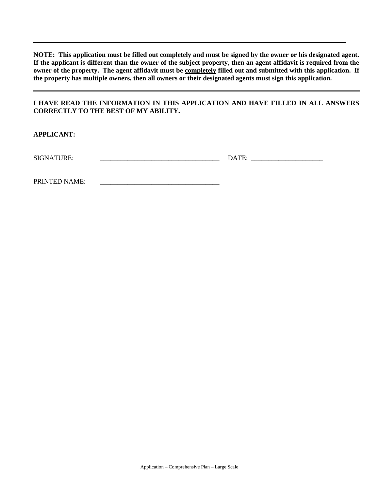**NOTE: This application must be filled out completely and must be signed by the owner or his designated agent. If the applicant is different than the owner of the subject property, then an agent affidavit is required from the owner of the property. The agent affidavit must be completely filled out and submitted with this application. If the property has multiple owners, then all owners or their designated agents must sign this application.**

### **I HAVE READ THE INFORMATION IN THIS APPLICATION AND HAVE FILLED IN ALL ANSWERS CORRECTLY TO THE BEST OF MY ABILITY.**

**APPLICANT:**

SIGNATURE: \_\_\_\_\_\_\_\_\_\_\_\_\_\_\_\_\_\_\_\_\_\_\_\_\_\_\_\_\_\_\_\_\_\_\_ DATE: \_\_\_\_\_\_\_\_\_\_\_\_\_\_\_\_\_\_\_\_\_

PRINTED NAME: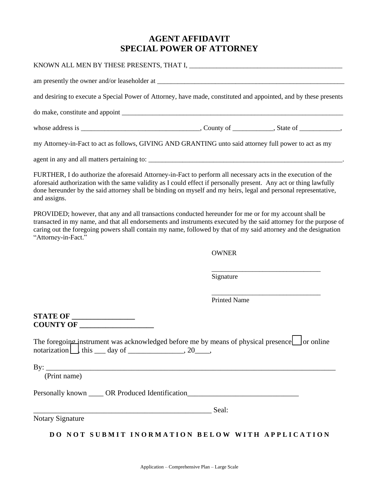### **AGENT AFFIDAVIT SPECIAL POWER OF ATTORNEY**

| and desiring to execute a Special Power of Attorney, have made, constituted and appointed, and by these presents                                                                                                                                                                                                                                                      |                     |  |
|-----------------------------------------------------------------------------------------------------------------------------------------------------------------------------------------------------------------------------------------------------------------------------------------------------------------------------------------------------------------------|---------------------|--|
|                                                                                                                                                                                                                                                                                                                                                                       |                     |  |
|                                                                                                                                                                                                                                                                                                                                                                       |                     |  |
| my Attorney-in-Fact to act as follows, GIVING AND GRANTING unto said attorney full power to act as my                                                                                                                                                                                                                                                                 |                     |  |
|                                                                                                                                                                                                                                                                                                                                                                       |                     |  |
| FURTHER, I do authorize the aforesaid Attorney-in-Fact to perform all necessary acts in the execution of the<br>aforesaid authorization with the same validity as I could effect if personally present. Any act or thing lawfully<br>done hereunder by the said attorney shall be binding on myself and my heirs, legal and personal representative,<br>and assigns.  |                     |  |
| PROVIDED; however, that any and all transactions conducted hereunder for me or for my account shall be<br>transacted in my name, and that all endorsements and instruments executed by the said attorney for the purpose of<br>caring out the foregoing powers shall contain my name, followed by that of my said attorney and the designation<br>"Attorney-in-Fact." |                     |  |
|                                                                                                                                                                                                                                                                                                                                                                       | <b>OWNER</b>        |  |
|                                                                                                                                                                                                                                                                                                                                                                       | Signature           |  |
|                                                                                                                                                                                                                                                                                                                                                                       | <b>Printed Name</b> |  |
| <b>STATE OF __________________</b>                                                                                                                                                                                                                                                                                                                                    |                     |  |
| The foregoing instrument was acknowledged before me by means of physical presence or online<br>notarization $\Box$ , this $\Box$ day of $\Box$ , 20, 20,                                                                                                                                                                                                              |                     |  |
| (Print name)                                                                                                                                                                                                                                                                                                                                                          |                     |  |
| Personally known _____ OR Produced Identification_______________________________                                                                                                                                                                                                                                                                                      |                     |  |
| <u>Seal:</u>                                                                                                                                                                                                                                                                                                                                                          |                     |  |
| <b>Notary Signature</b>                                                                                                                                                                                                                                                                                                                                               |                     |  |
| DO NOT SUBMIT INORMATION BELOW WITH APPLICATION                                                                                                                                                                                                                                                                                                                       |                     |  |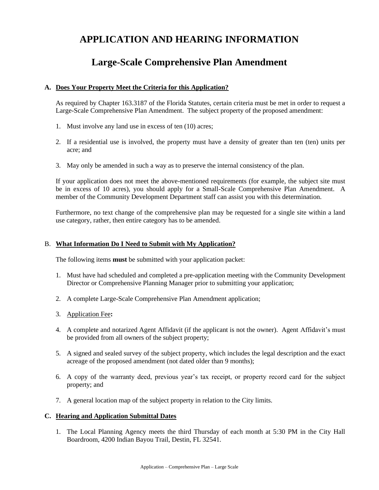# **APPLICATION AND HEARING INFORMATION**

## **Large-Scale Comprehensive Plan Amendment**

### **A. Does Your Property Meet the Criteria for this Application?**

As required by Chapter 163.3187 of the Florida Statutes, certain criteria must be met in order to request a Large-Scale Comprehensive Plan Amendment. The subject property of the proposed amendment:

- 1. Must involve any land use in excess of ten (10) acres;
- 2. If a residential use is involved, the property must have a density of greater than ten (ten) units per acre; and
- 3. May only be amended in such a way as to preserve the internal consistency of the plan.

If your application does not meet the above-mentioned requirements (for example, the subject site must be in excess of 10 acres), you should apply for a Small-Scale Comprehensive Plan Amendment. A member of the Community Development Department staff can assist you with this determination.

Furthermore, no text change of the comprehensive plan may be requested for a single site within a land use category, rather, then entire category has to be amended.

### B. **What Information Do I Need to Submit with My Application?**

The following items **must** be submitted with your application packet:

- 1. Must have had scheduled and completed a pre-application meeting with the Community Development Director or Comprehensive Planning Manager prior to submitting your application;
- 2. A complete Large-Scale Comprehensive Plan Amendment application;
- 3. Application Fee**:**
- 4. A complete and notarized Agent Affidavit (if the applicant is not the owner). Agent Affidavit's must be provided from all owners of the subject property;
- 5. A signed and sealed survey of the subject property, which includes the legal description and the exact acreage of the proposed amendment (not dated older than 9 months);
- 6. A copy of the warranty deed, previous year's tax receipt, or property record card for the subject property; and
- 7. A general location map of the subject property in relation to the City limits.

### **C. Hearing and Application Submittal Dates**

1. The Local Planning Agency meets the third Thursday of each month at 5:30 PM in the City Hall Boardroom, 4200 Indian Bayou Trail, Destin, FL 32541.